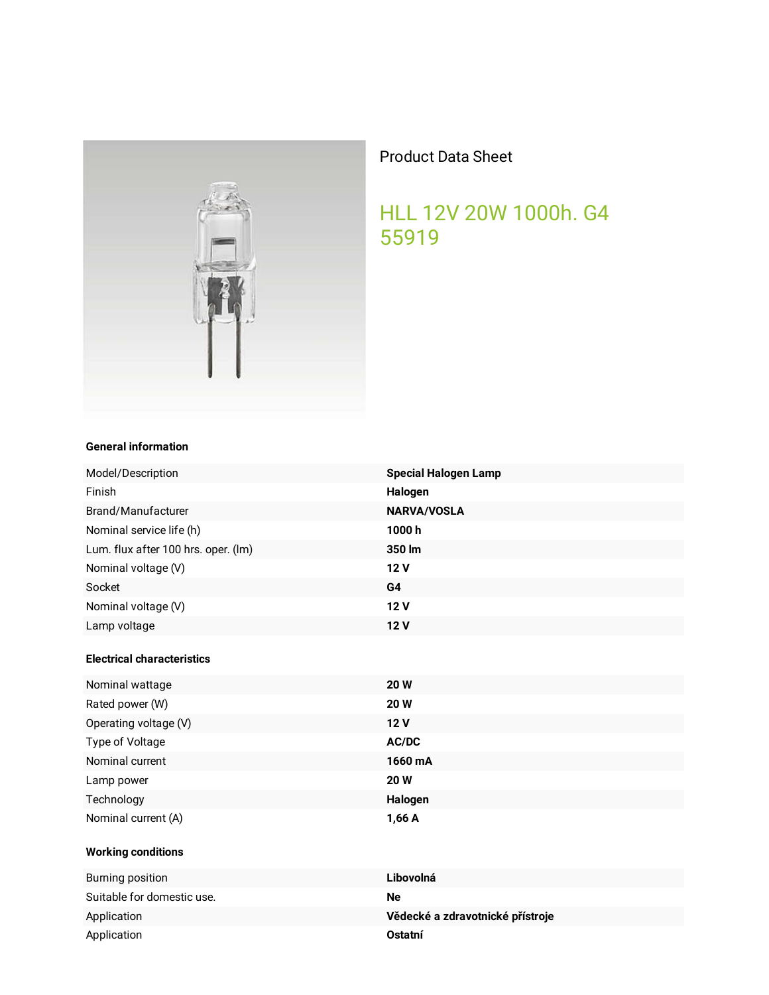

## **Product Data Sheet**

## HLL 12V 20W 1000h. G4 55919

## **General information**

| Model/Description                   | <b>Special Halogen Lamp</b>      |
|-------------------------------------|----------------------------------|
| Finish                              | Halogen                          |
| Brand/Manufacturer                  | <b>NARVA/VOSLA</b>               |
| Nominal service life (h)            | 1000h                            |
| Lum. flux after 100 hrs. oper. (Im) | 350 lm                           |
| Nominal voltage (V)                 | 12V                              |
| Socket                              | G4                               |
| Nominal voltage (V)                 | 12 V                             |
| Lamp voltage                        | 12 V                             |
| <b>Electrical characteristics</b>   |                                  |
| Nominal wattage                     | <b>20W</b>                       |
| Rated power (W)                     | 20 W                             |
| Operating voltage (V)               | 12 V                             |
| Type of Voltage                     | AC/DC                            |
| Nominal current                     | 1660 mA                          |
| Lamp power                          | <b>20W</b>                       |
| Technology                          | Halogen                          |
| Nominal current (A)                 | 1,66 A                           |
| <b>Working conditions</b>           |                                  |
| <b>Burning position</b>             | Libovolná                        |
| Suitable for domestic use.          | <b>Ne</b>                        |
| Application                         | Vědecké a zdravotnické přístroje |
| Application                         | Ostatní                          |